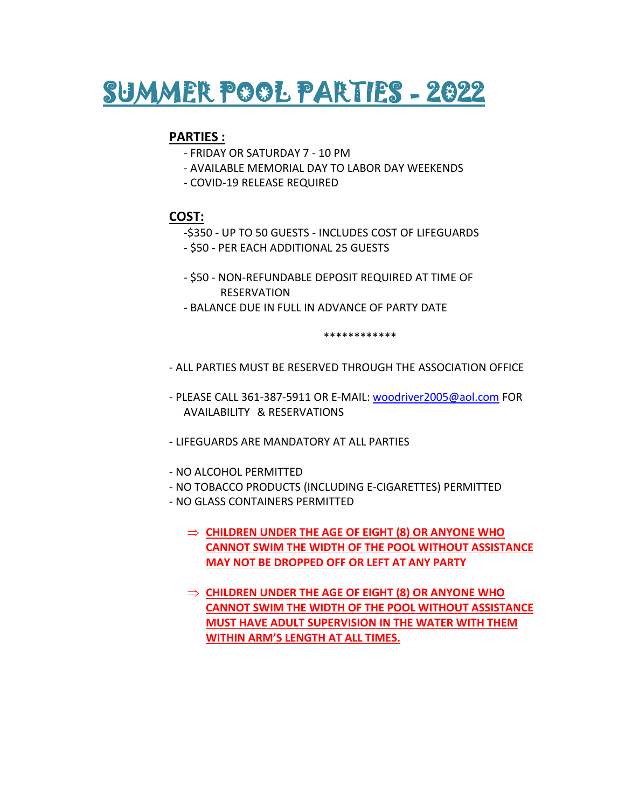

## **PARTIES :**

- FRIDAY OR SATURDAY 7 10 PM
- AVAILABLE MEMORIAL DAY TO LABOR DAY WEEKENDS
- COVID-19 RELEASE REQUIRED

## **COST:**

- -\$350 UP TO 50 GUESTS INCLUDES COST OF LIFEGUARDS
- \$50 PER EACH ADDITIONAL 25 GUESTS
- \$50 NON-REFUNDABLE DEPOSIT REQUIRED AT TIME OF RESERVATION
- BALANCE DUE IN FULL IN ADVANCE OF PARTY DATE

\*\*\*\*\*\*\*\*\*\*\*\*

- ALL PARTIES MUST BE RESERVED THROUGH THE ASSOCIATION OFFICE
- PLEASE CALL 361-387-5911 OR E-MAIL: [woodriver2005@aol.com](mailto:WOODRIVER2005@AOL.COM) FOR AVAILABILITY & RESERVATIONS
- LIFEGUARDS ARE MANDATORY AT ALL PARTIES
- NO ALCOHOL PERMITTED
- NO TOBACCO PRODUCTS (INCLUDING E-CIGARETTES) PERMITTED
- NO GLASS CONTAINERS PERMITTED
	- **CHILDREN UNDER THE AGE OF EIGHT (8) OR ANYONE WHO CANNOT SWIM THE WIDTH OF THE POOL WITHOUT ASSISTANCE MAY NOT BE DROPPED OFF OR LEFT AT ANY PARTY**
	- **CHILDREN UNDER THE AGE OF EIGHT (8) OR ANYONE WHO CANNOT SWIM THE WIDTH OF THE POOL WITHOUT ASSISTANCE MUST HAVE ADULT SUPERVISION IN THE WATER WITH THEM WITHIN ARM'S LENGTH AT ALL TIMES.**